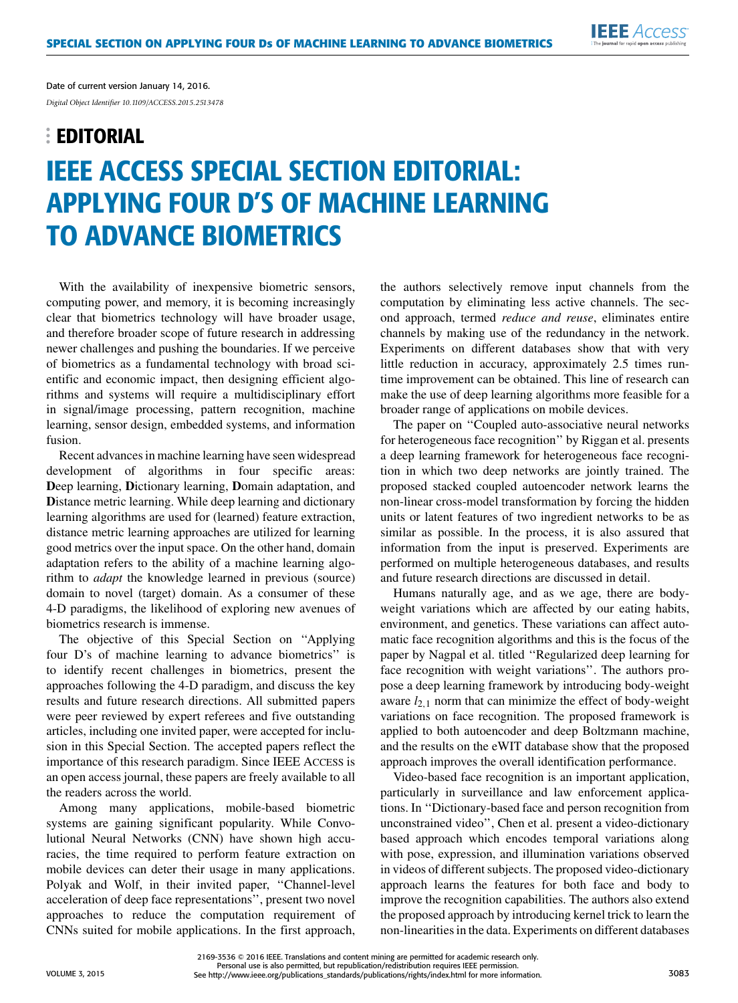**EDITORIAL** 

## IEEE ACCESS SPECIAL SECTION EDITORIAL: APPLYING FOUR D'S OF MACHINE LEARNING TO ADVANCE BIOMETRICS

With the availability of inexpensive biometric sensors, computing power, and memory, it is becoming increasingly clear that biometrics technology will have broader usage, and therefore broader scope of future research in addressing newer challenges and pushing the boundaries. If we perceive of biometrics as a fundamental technology with broad scientific and economic impact, then designing efficient algorithms and systems will require a multidisciplinary effort in signal/image processing, pattern recognition, machine learning, sensor design, embedded systems, and information fusion.

Recent advances in machine learning have seen widespread development of algorithms in four specific areas: **D**eep learning, **D**ictionary learning, **D**omain adaptation, and **D**istance metric learning. While deep learning and dictionary learning algorithms are used for (learned) feature extraction, distance metric learning approaches are utilized for learning good metrics over the input space. On the other hand, domain adaptation refers to the ability of a machine learning algorithm to *adapt* the knowledge learned in previous (source) domain to novel (target) domain. As a consumer of these 4-D paradigms, the likelihood of exploring new avenues of biometrics research is immense.

The objective of this Special Section on ''Applying four D's of machine learning to advance biometrics'' is to identify recent challenges in biometrics, present the approaches following the 4-D paradigm, and discuss the key results and future research directions. All submitted papers were peer reviewed by expert referees and five outstanding articles, including one invited paper, were accepted for inclusion in this Special Section. The accepted papers reflect the importance of this research paradigm. Since IEEE ACCESS is an open access journal, these papers are freely available to all the readers across the world.

Among many applications, mobile-based biometric systems are gaining significant popularity. While Convolutional Neural Networks (CNN) have shown high accuracies, the time required to perform feature extraction on mobile devices can deter their usage in many applications. Polyak and Wolf, in their invited paper, ''Channel-level acceleration of deep face representations'', present two novel approaches to reduce the computation requirement of CNNs suited for mobile applications. In the first approach,

the authors selectively remove input channels from the computation by eliminating less active channels. The second approach, termed *reduce and reuse*, eliminates entire channels by making use of the redundancy in the network. Experiments on different databases show that with very little reduction in accuracy, approximately 2.5 times runtime improvement can be obtained. This line of research can make the use of deep learning algorithms more feasible for a broader range of applications on mobile devices.

**IEEE** Access

The paper on ''Coupled auto-associative neural networks for heterogeneous face recognition'' by Riggan et al. presents a deep learning framework for heterogeneous face recognition in which two deep networks are jointly trained. The proposed stacked coupled autoencoder network learns the non-linear cross-model transformation by forcing the hidden units or latent features of two ingredient networks to be as similar as possible. In the process, it is also assured that information from the input is preserved. Experiments are performed on multiple heterogeneous databases, and results and future research directions are discussed in detail.

Humans naturally age, and as we age, there are bodyweight variations which are affected by our eating habits, environment, and genetics. These variations can affect automatic face recognition algorithms and this is the focus of the paper by Nagpal et al. titled ''Regularized deep learning for face recognition with weight variations''. The authors propose a deep learning framework by introducing body-weight aware  $l_{2,1}$  norm that can minimize the effect of body-weight variations on face recognition. The proposed framework is applied to both autoencoder and deep Boltzmann machine, and the results on the eWIT database show that the proposed approach improves the overall identification performance.

Video-based face recognition is an important application, particularly in surveillance and law enforcement applications. In ''Dictionary-based face and person recognition from unconstrained video'', Chen et al. present a video-dictionary based approach which encodes temporal variations along with pose, expression, and illumination variations observed in videos of different subjects. The proposed video-dictionary approach learns the features for both face and body to improve the recognition capabilities. The authors also extend the proposed approach by introducing kernel trick to learn the non-linearities in the data. Experiments on different databases